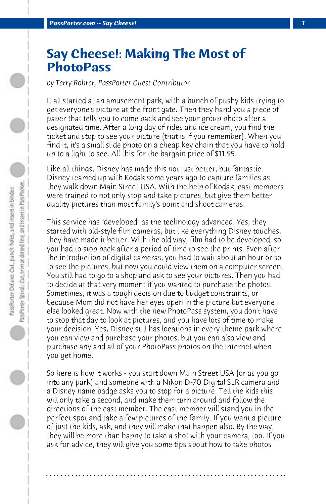## **Say Cheese!: Making The Most of PhotoPass**

*by Terry Rohrer, PassPorter Guest Contributor*

It all started at an amusement park, with a bunch of pushy kids trying to get everyone's picture at the front gate. Then they hand you a piece of paper that tells you to come back and see your group photo after a designated time. After a long day of rides and ice cream, you find the ticket and stop to see your picture (that is if you remember). When you find it, it's a small slide photo on a cheap key chain that you have to hold up to a light to see. All this for the bargain price of \$11.95.

Like all things, Disney has made this not just better, but fantastic. Disney teamed up with Kodak some years ago to capture families as they walk down Main Street USA. With the help of Kodak, cast members were trained to not only stop and take pictures, but give them better quality pictures than most family's point and shoot cameras.

This service has "developed" as the technology advanced. Yes, they started with old-style film cameras, but like everything Disney touches, they have made it better. With the old way, film had to be developed, so you had to stop back after a period of time to see the prints. Even after the introduction of digital cameras, you had to wait about an hour or so to see the pictures, but now you could view them on a computer screen. You still had to go to a shop and ask to see your pictures. Then you had to decide at that very moment if you wanted to purchase the photos. Sometimes, it was a tough decision due to budget constraints, or because Mom did not have her eyes open in the picture but everyone else looked great. Now with the new PhotoPass system, you don't have to stop that day to look at pictures, and you have lots of time to make your decision. Yes, Disney still has locations in every theme park where you can view and purchase your photos, but you can also view and purchase any and all of your PhotoPass photos on the Internet when you get home.

So here is how it works - you start down Main Street USA (or as you go into any park) and someone with a Nikon D-70 Digital SLR camera and a Disney name badge asks you to stop for a picture. Tell the kids this will only take a second, and make them turn around and follow the directions of the cast member. The cast member will stand you in the perfect spot and take a few pictures of the family. If you want a picture of just the kids, ask, and they will make that happen also. By the way, they will be more than happy to take a shot with your camera, too. If you ask for advice, they will give you some tips about how to take photos

**. . . . . . . . . . . . . . . . . . . . . . . . . . . . . . . . . . . . . . . . . . . . . . . . . . . . . . . . . . . . . . . . . .**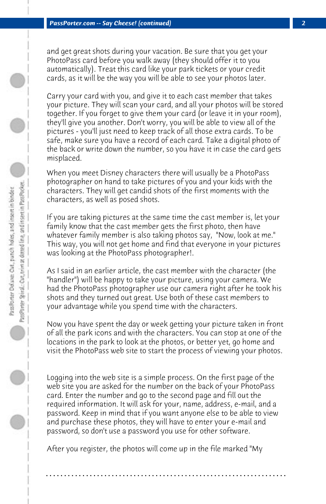and get great shots during your vacation. Be sure that you get your PhotoPass card before you walk away (they should offer it to you automatically). Treat this card like your park tickets or your credit cards, as it will be the way you will be able to see your photos later.

Carry your card with you, and give it to each cast member that takes your picture. They will scan your card, and all your photos will be stored together. If you forget to give them your card (or leave it in your room), they'll give you another. Don't worry, you will be able to view all of the pictures - you'll just need to keep track of all those extra cards. To be safe, make sure you have a record of each card. Take a digital photo of the back or write down the number, so you have it in case the card gets misplaced.

When you meet Disney characters there will usually be a PhotoPass photographer on hand to take pictures of you and your kids with the characters. They will get candid shots of the first moments with the characters, as well as posed shots.

If you are taking pictures at the same time the cast member is, let your family know that the cast member gets the first photo, then have whatever family member is also taking photos say, "Now, look at me." This way, you will not get home and find that everyone in your pictures was looking at the PhotoPass photographer!.

As I said in an earlier article, the cast member with the character (the "handler") will be happy to take your picture, using your camera. We had the PhotoPass photographer use our camera right after he took his shots and they turned out great. Use both of these cast members to your advantage while you spend time with the characters.

Now you have spent the day or week getting your picture taken in front of all the park icons and with the characters. You can stop at one of the locations in the park to look at the photos, or better yet, go home and visit the PhotoPass web site to start the process of viewing your photos.

Logging into the web site is a simple process. On the first page of the web site you are asked for the number on the back of your PhotoPass card. Enter the number and go to the second page and fill out the required information. It will ask for your, name, address, e-mail, and a password. Keep in mind that if you want anyone else to be able to view and purchase these photos, they will have to enter your e-mail and password, so don't use a password you use for other software.

After you register, the photos will come up in the file marked "My

**. . . . . . . . . . . . . . . . . . . . . . . . . . . . . . . . . . . . . . . . . . . . . . . . . . . . . . . . . . . . . . . . . .**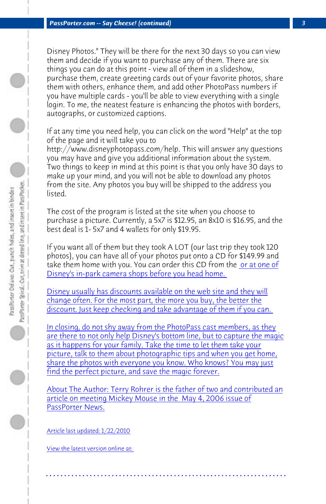*PassPorter.com -- Say Cheese! (continued) 3*

Disney Photos." They will be there for the next 30 days so you can view them and decide if you want to purchase any of them. There are six things you can do at this point - view all of them in a slideshow, purchase them, create greeting cards out of your favorite photos, share them with others, enhance them, and add other PhotoPass numbers if you have multiple cards - you'll be able to view everything with a single login. To me, the neatest feature is enhancing the photos with borders, autographs, or customized captions.

[If at any time you need help, you can click on the word](http://www.disneyphotopass.com]PhotoPass) "Help" at the top [of the page and it will take you to](http://www.disneyphotopass.com]PhotoPass)

[http://www.disneyphotopass.com/help. This will answer any que](http://www.disneyphotopass.com]PhotoPass)stions [you may have and give you additional information about the system.](http://www.disneyphotopass.com]PhotoPass) Two things to keep in mind at this point is that you only have 30 days to [make up your mind, and you will not be able to download any photos](http://www.disneyphotopass.com]PhotoPass) [from the site. Any photos you buy will be shipped to the address you](http://www.disneyphotopass.com]PhotoPass) [listed.](http://www.disneyphotopass.com]PhotoPass) 

[The cost of the program is listed at the site when you choose to](http://www.disneyphotopass.com]PhotoPass) [purchase a picture. Currently, a 5x7 is \\$12.95, an 8x10](http://www.disneyphotopass.com]PhotoPass) is \$16.95, and the best deal is 1- 5x7 and 4 wallets for only \$19.95.

[If you want all of them but they took A LOT \(our last trip they took 120](http://www.disneyphotopass.com]PhotoPass) [photos\), you can h](http://www.disneyphotopass.com]PhotoPass)ave all of your photos put onto a CD for \$149.99 and take them home with you. You can order this CD from the or at one of Disney's in-park camera shops before you head home.

Disney usually has discounts available on the web site and they will [change often. For the most](http://www.disneyphotopass.com]PhotoPass) part, the more you buy, the better the discount. Just keep checking and take advantage of them if you can.

In closing, do not shy away from the PhotoPass cast members, as they are there to not only help Disney's bottom line, but to capture the magic as it happens for your family. Take the time to let them take your picture, talk to them about photographic tips and when you get home, share the photos with everyone you know. Who knows? You may just find the perfect picture, and save the magic forever.

About The Author: Terry Rohrer is the father of two and contributed an article on meeting Mickey Mouse in the May 4, 2006 issue of PassPorter News.

**. . . . . . . . . . . . . . . . . . . . . . . . . . . . . . . . . . . . . . . . . . . . . . . . . . . . . . . . . . . . . . . . . .**

Article last updated: 1/22/2010

View the latest version online at: